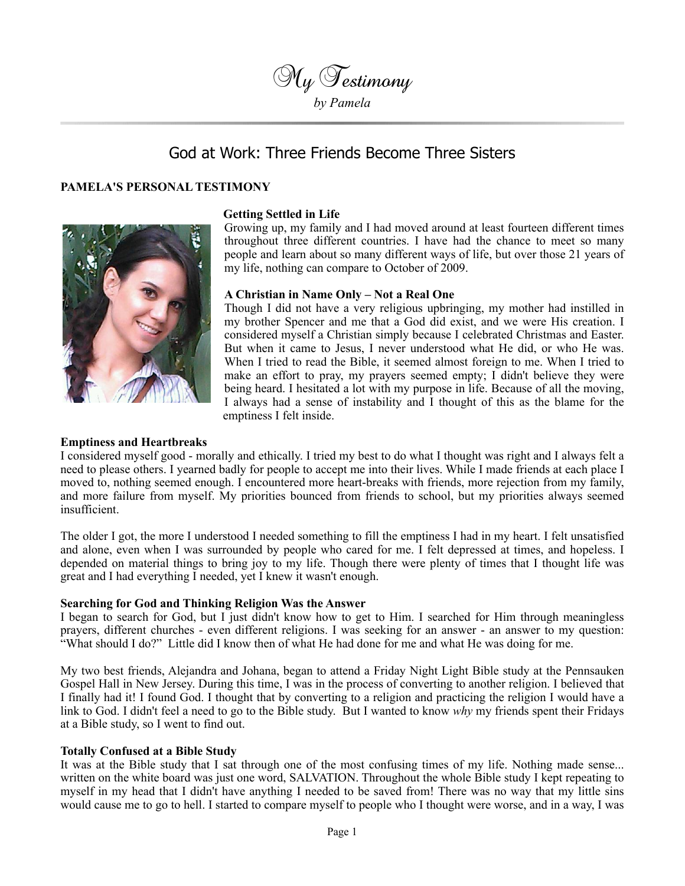

# God at Work: Three Friends Become Three Sisters

## **PAMELA'S PERSONAL TESTIMONY**



#### **Getting Settled in Life**

Growing up, my family and I had moved around at least fourteen different times throughout three different countries. I have had the chance to meet so many people and learn about so many different ways of life, but over those 21 years of my life, nothing can compare to October of 2009.

### **A Christian in Name Only – Not a Real One**

Though I did not have a very religious upbringing, my mother had instilled in my brother Spencer and me that a God did exist, and we were His creation. I considered myself a Christian simply because I celebrated Christmas and Easter. But when it came to Jesus, I never understood what He did, or who He was. When I tried to read the Bible, it seemed almost foreign to me. When I tried to make an effort to pray, my prayers seemed empty; I didn't believe they were being heard. I hesitated a lot with my purpose in life. Because of all the moving, I always had a sense of instability and I thought of this as the blame for the emptiness I felt inside.

#### **Emptiness and Heartbreaks**

I considered myself good - morally and ethically. I tried my best to do what I thought was right and I always felt a need to please others. I yearned badly for people to accept me into their lives. While I made friends at each place I moved to, nothing seemed enough. I encountered more heart-breaks with friends, more rejection from my family, and more failure from myself. My priorities bounced from friends to school, but my priorities always seemed insufficient.

The older I got, the more I understood I needed something to fill the emptiness I had in my heart. I felt unsatisfied and alone, even when I was surrounded by people who cared for me. I felt depressed at times, and hopeless. I depended on material things to bring joy to my life. Though there were plenty of times that I thought life was great and I had everything I needed, yet I knew it wasn't enough.

#### **Searching for God and Thinking Religion Was the Answer**

I began to search for God, but I just didn't know how to get to Him. I searched for Him through meaningless prayers, different churches - even different religions. I was seeking for an answer - an answer to my question: "What should I do?" Little did I know then of what He had done for me and what He was doing for me.

My two best friends, Alejandra and Johana, began to attend a Friday Night Light Bible study at the Pennsauken Gospel Hall in New Jersey. During this time, I was in the process of converting to another religion. I believed that I finally had it! I found God. I thought that by converting to a religion and practicing the religion I would have a link to God. I didn't feel a need to go to the Bible study. But I wanted to know *why* my friends spent their Fridays at a Bible study, so I went to find out.

#### **Totally Confused at a Bible Study**

It was at the Bible study that I sat through one of the most confusing times of my life. Nothing made sense... written on the white board was just one word, SALVATION. Throughout the whole Bible study I kept repeating to myself in my head that I didn't have anything I needed to be saved from! There was no way that my little sins would cause me to go to hell. I started to compare myself to people who I thought were worse, and in a way, I was